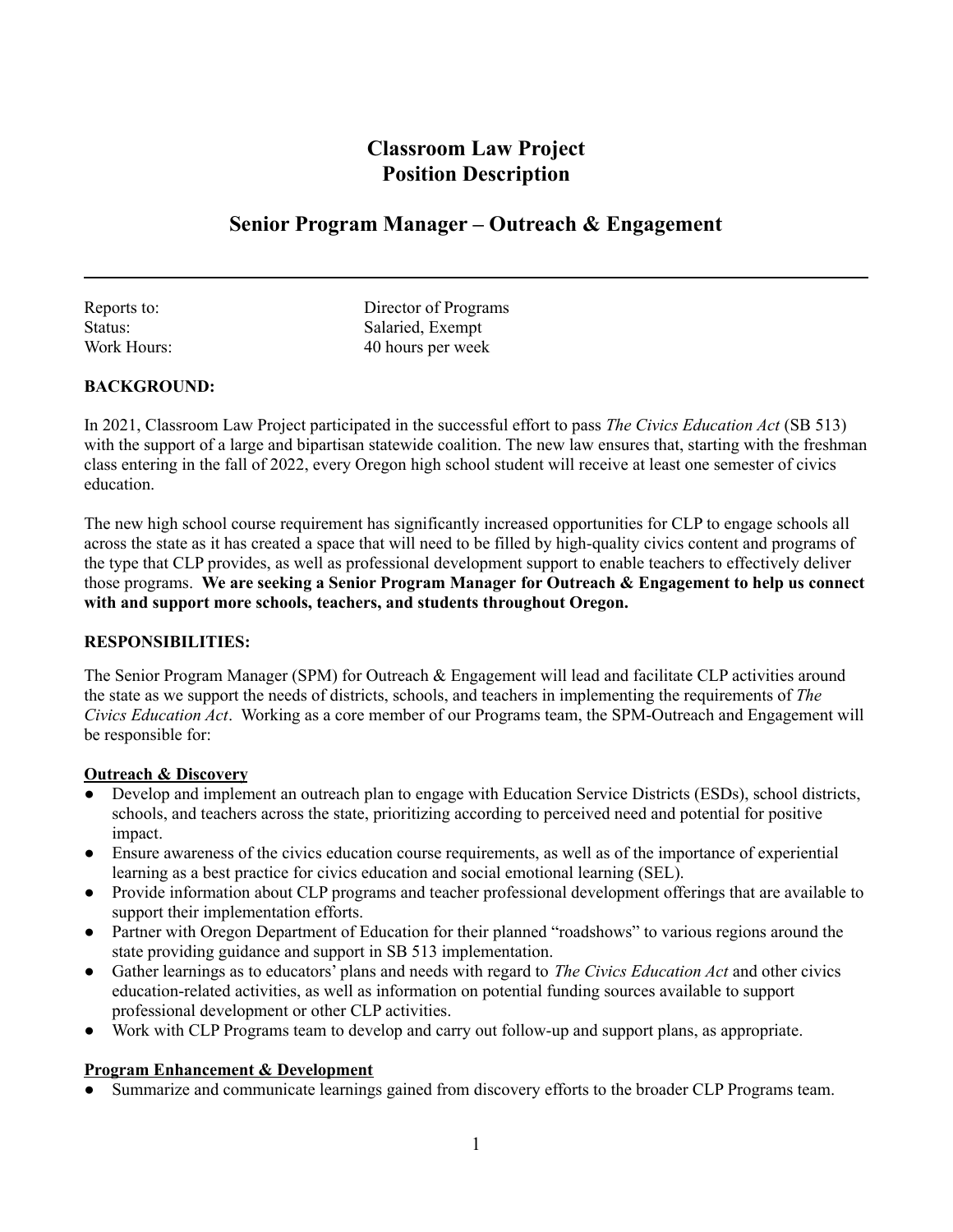# **Classroom Law Project Position Description**

# **Senior Program Manager – Outreach & Engagement**

Reports to: Director of Programs<br>Status: Salaried Exempt Salaried, Exempt Work Hours: 40 hours per week

# **BACKGROUND:**

In 2021, Classroom Law Project participated in the successful effort to pass *The Civics Education Act* (SB 513) with the support of a large and bipartisan statewide coalition. The new law ensures that, starting with the freshman class entering in the fall of 2022, every Oregon high school student will receive at least one semester of civics education.

The new high school course requirement has significantly increased opportunities for CLP to engage schools all across the state as it has created a space that will need to be filled by high-quality civics content and programs of the type that CLP provides, as well as professional development support to enable teachers to effectively deliver those programs. **We are seeking a Senior Program Manager for Outreach & Engagement to help us connect with and support more schools, teachers, and students throughout Oregon.**

# **RESPONSIBILITIES:**

The Senior Program Manager (SPM) for Outreach & Engagement will lead and facilitate CLP activities around the state as we support the needs of districts, schools, and teachers in implementing the requirements of *The Civics Education Act*. Working as a core member of our Programs team, the SPM-Outreach and Engagement will be responsible for:

#### **Outreach & Discovery**

- Develop and implement an outreach plan to engage with Education Service Districts (ESDs), school districts, schools, and teachers across the state, prioritizing according to perceived need and potential for positive impact.
- Ensure awareness of the civics education course requirements, as well as of the importance of experiential learning as a best practice for civics education and social emotional learning (SEL).
- Provide information about CLP programs and teacher professional development offerings that are available to support their implementation efforts.
- Partner with Oregon Department of Education for their planned "roadshows" to various regions around the state providing guidance and support in SB 513 implementation.
- Gather learnings as to educators' plans and needs with regard to *The Civics Education Act* and other civics education-related activities, as well as information on potential funding sources available to support professional development or other CLP activities.
- Work with CLP Programs team to develop and carry out follow-up and support plans, as appropriate.

# **Program Enhancement & Development**

Summarize and communicate learnings gained from discovery efforts to the broader CLP Programs team.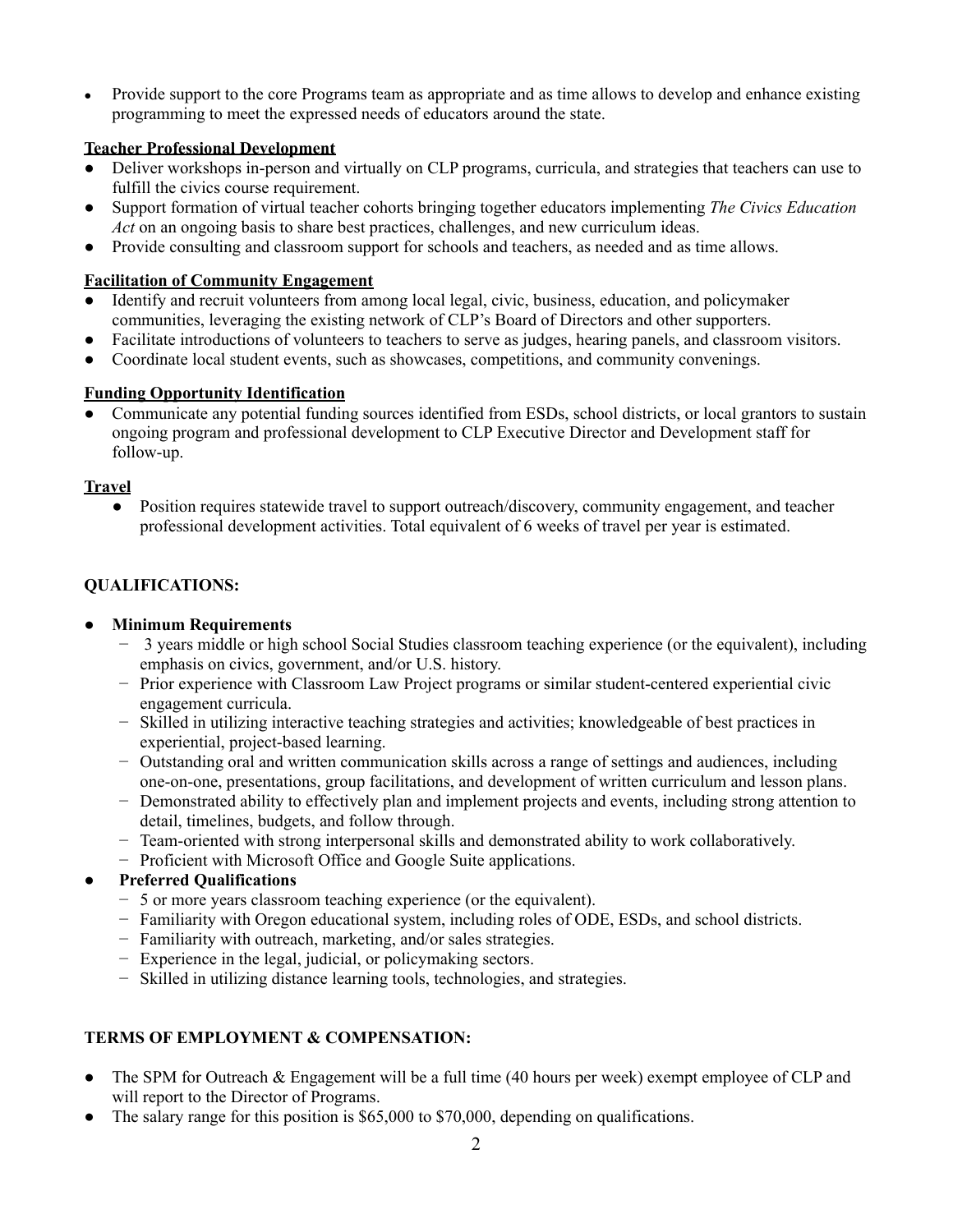• Provide support to the core Programs team as appropriate and as time allows to develop and enhance existing programming to meet the expressed needs of educators around the state.

# **Teacher Professional Development**

- Deliver workshops in-person and virtually on CLP programs, curricula, and strategies that teachers can use to fulfill the civics course requirement.
- Support formation of virtual teacher cohorts bringing together educators implementing *The Civics Education Act* on an ongoing basis to share best practices, challenges, and new curriculum ideas.
- Provide consulting and classroom support for schools and teachers, as needed and as time allows.

## **Facilitation of Community Engagement**

- Identify and recruit volunteers from among local legal, civic, business, education, and policymaker communities, leveraging the existing network of CLP's Board of Directors and other supporters.
- Facilitate introductions of volunteers to teachers to serve as judges, hearing panels, and classroom visitors.
- Coordinate local student events, such as showcases, competitions, and community convenings.

## **Funding Opportunity Identification**

• Communicate any potential funding sources identified from ESDs, school districts, or local grantors to sustain ongoing program and professional development to CLP Executive Director and Development staff for follow-up.

#### **Travel**

● Position requires statewide travel to support outreach/discovery, community engagement, and teacher professional development activities. Total equivalent of 6 weeks of travel per year is estimated.

## **QUALIFICATIONS:**

### **● Minimum Requirements**

- − 3 years middle or high school Social Studies classroom teaching experience (or the equivalent), including emphasis on civics, government, and/or U.S. history.
- − Prior experience with Classroom Law Project programs or similar student-centered experiential civic engagement curricula.
- − Skilled in utilizing interactive teaching strategies and activities; knowledgeable of best practices in experiential, project-based learning.
- − Outstanding oral and written communication skills across a range of settings and audiences, including one-on-one, presentations, group facilitations, and development of written curriculum and lesson plans.
- − Demonstrated ability to effectively plan and implement projects and events, including strong attention to detail, timelines, budgets, and follow through.
- − Team-oriented with strong interpersonal skills and demonstrated ability to work collaboratively.
- − Proficient with Microsoft Office and Google Suite applications.

# **● Preferred Qualifications**

- − 5 or more years classroom teaching experience (or the equivalent).
- − Familiarity with Oregon educational system, including roles of ODE, ESDs, and school districts.
- − Familiarity with outreach, marketing, and/or sales strategies.
- − Experience in the legal, judicial, or policymaking sectors.
- − Skilled in utilizing distance learning tools, technologies, and strategies.

# **TERMS OF EMPLOYMENT & COMPENSATION:**

- The SPM for Outreach & Engagement will be a full time (40 hours per week) exempt employee of CLP and will report to the Director of Programs.
- The salary range for this position is \$65,000 to \$70,000, depending on qualifications.